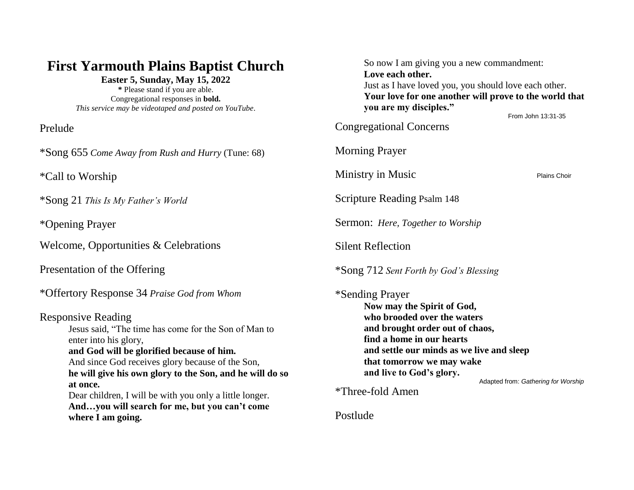## **First Yarmouth Plains Baptist Church**

**Easter 5, Sunday, May 15, 2022 \*** Please stand if you are able. Congregational responses in **bold.**

*This service may be videotaped and posted on YouTube.*

Prelude

\*Song 655 *Come Away from Rush and Hurry* (Tune: 68)

\*Call to Worship

\*Song 21 *This Is My Father's World*

\*Opening Prayer

Welcome, Opportunities & Celebrations

Presentation of the Offering

\*Offertory Response 34 *Praise God from Whom*

Responsive Reading Jesus said, "The time has come for the Son of Man to enter into his glory, **and God will be glorified because of him.** And since God receives glory because of the Son, **he will give his own glory to the Son, and he will do so at once.** Dear children, I will be with you only a little longer. **And…you will search for me, but you can't come where I am going.**

| So now I am giving you a new commandment:<br>Love each other.<br>Just as I have loved you, you should love each other.<br>Your love for one another will prove to the world that<br>you are my disciples."                                                                                |                     |
|-------------------------------------------------------------------------------------------------------------------------------------------------------------------------------------------------------------------------------------------------------------------------------------------|---------------------|
| <b>Congregational Concerns</b>                                                                                                                                                                                                                                                            | From John 13:31-35  |
| <b>Morning Prayer</b>                                                                                                                                                                                                                                                                     |                     |
| Ministry in Music                                                                                                                                                                                                                                                                         | <b>Plains Choir</b> |
| Scripture Reading Psalm 148                                                                                                                                                                                                                                                               |                     |
| <b>Sermon:</b> Here, Together to Worship                                                                                                                                                                                                                                                  |                     |
| <b>Silent Reflection</b>                                                                                                                                                                                                                                                                  |                     |
| *Song 712 Sent Forth by God's Blessing                                                                                                                                                                                                                                                    |                     |
| *Sending Prayer<br>Now may the Spirit of God,<br>who brooded over the waters<br>and brought order out of chaos,<br>find a home in our hearts<br>and settle our minds as we live and sleep<br>that tomorrow we may wake<br>and live to God's glory.<br>Adapted from: Gathering for Worship |                     |
| *Three-fold Amen                                                                                                                                                                                                                                                                          |                     |

Postlude